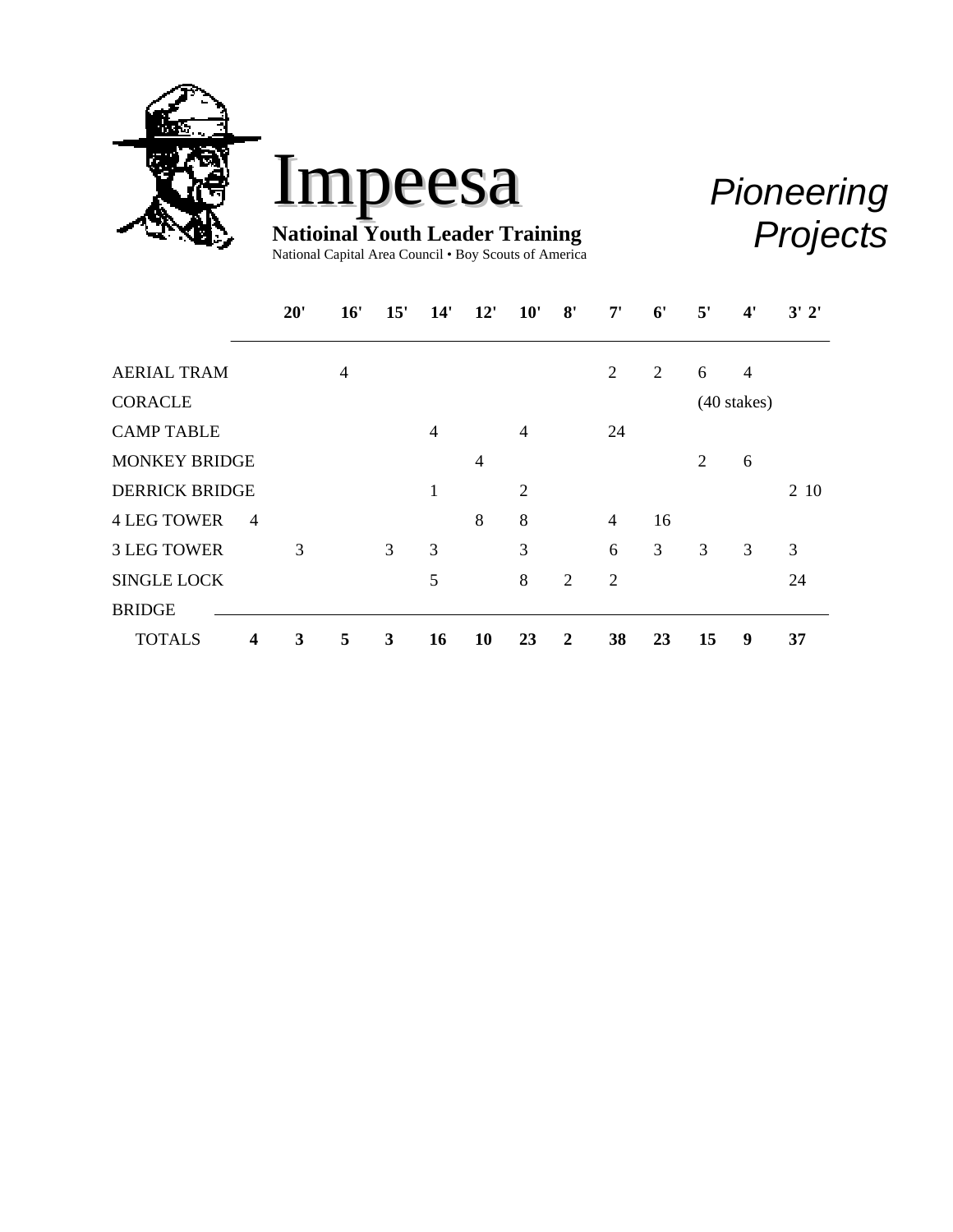



*Pioneering Projects*

National Capital Area Council • Boy Scouts of America

|                                          | 20' | 16' | 15' | 14' | 12'            | 10'            | 8'             | 7'             | 6' | 5'             | 4'            | 3'2' |
|------------------------------------------|-----|-----|-----|-----|----------------|----------------|----------------|----------------|----|----------------|---------------|------|
|                                          |     |     |     |     |                |                |                |                |    |                |               |      |
| <b>AERIAL TRAM</b>                       |     | 4   |     |     |                |                |                | $\overline{2}$ | 2  | 6              | 4             |      |
| <b>CORACLE</b>                           |     |     |     |     |                |                |                |                |    |                | $(40$ stakes) |      |
| <b>CAMP TABLE</b>                        |     |     |     | 4   |                | $\overline{4}$ |                | 24             |    |                |               |      |
| <b>MONKEY BRIDGE</b>                     |     |     |     |     | $\overline{4}$ |                |                |                |    | $\overline{2}$ | 6             |      |
| <b>DERRICK BRIDGE</b>                    |     |     |     | 1   |                | 2              |                |                |    |                |               | 2 10 |
| <b>4 LEG TOWER</b><br>$\overline{4}$     |     |     |     |     | 8              | 8              |                | $\overline{4}$ | 16 |                |               |      |
| <b>3 LEG TOWER</b>                       | 3   |     | 3   | 3   |                | 3              |                | 6              | 3  | 3              | 3             | 3    |
| <b>SINGLE LOCK</b>                       |     |     |     | 5   |                | 8              | $\overline{2}$ | $\overline{2}$ |    |                |               | 24   |
| <b>BRIDGE</b>                            |     |     |     |     |                |                |                |                |    |                |               |      |
| <b>TOTALS</b><br>$\overline{\mathbf{4}}$ | 3   | 5   | 3   | 16  | 10             | 23             | 2              | 38             | 23 | 15             | 9             | 37   |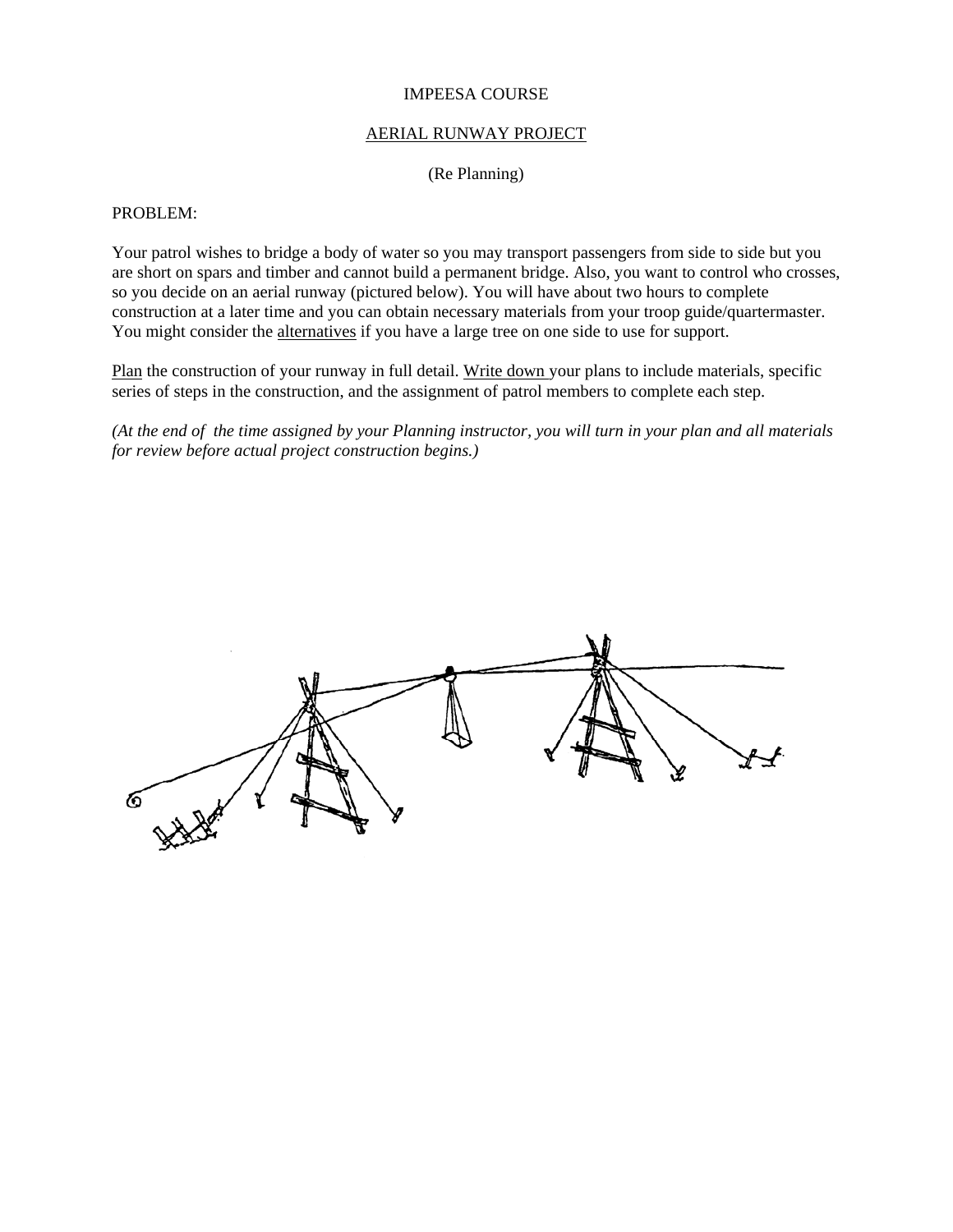## AERIAL RUNWAY PROJECT

(Re Planning)

#### PROBLEM:

Your patrol wishes to bridge a body of water so you may transport passengers from side to side but you are short on spars and timber and cannot build a permanent bridge. Also, you want to control who crosses, so you decide on an aerial runway (pictured below). You will have about two hours to complete construction at a later time and you can obtain necessary materials from your troop guide/quartermaster. You might consider the alternatives if you have a large tree on one side to use for support.

Plan the construction of your runway in full detail. Write down your plans to include materials, specific series of steps in the construction, and the assignment of patrol members to complete each step.

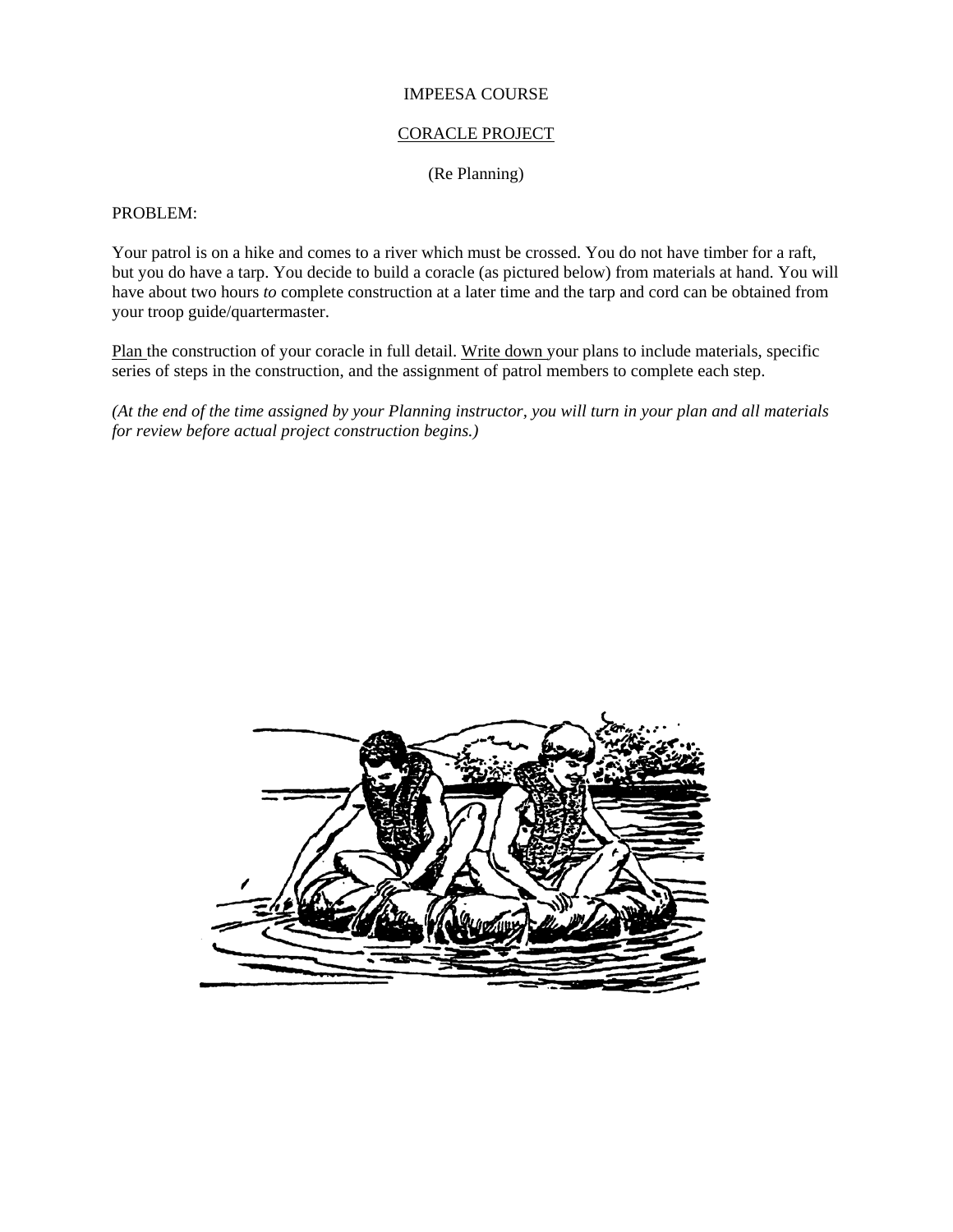## CORACLE PROJECT

(Re Planning)

## PROBLEM:

Your patrol is on a hike and comes to a river which must be crossed. You do not have timber for a raft, but you do have a tarp. You decide to build a coracle (as pictured below) from materials at hand. You will have about two hours *to* complete construction at a later time and the tarp and cord can be obtained from your troop guide/quartermaster.

Plan the construction of your coracle in full detail. Write down your plans to include materials, specific series of steps in the construction, and the assignment of patrol members to complete each step.

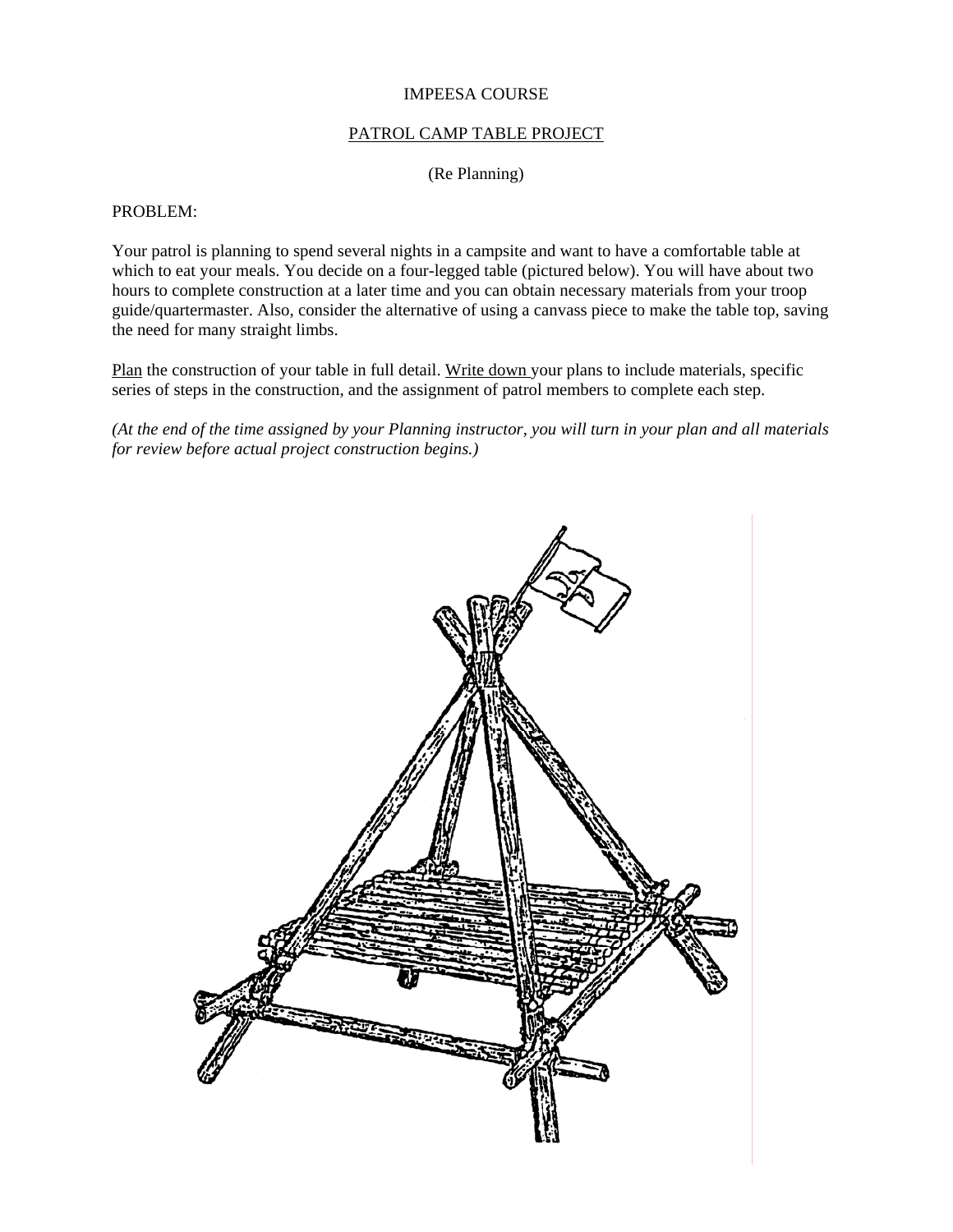## PATROL CAMP TABLE PROJECT

(Re Planning)

## PROBLEM:

Your patrol is planning to spend several nights in a campsite and want to have a comfortable table at which to eat your meals. You decide on a four-legged table (pictured below). You will have about two hours to complete construction at a later time and you can obtain necessary materials from your troop guide/quartermaster. Also, consider the alternative of using a canvass piece to make the table top, saving the need for many straight limbs.

Plan the construction of your table in full detail. Write down your plans to include materials, specific series of steps in the construction, and the assignment of patrol members to complete each step.

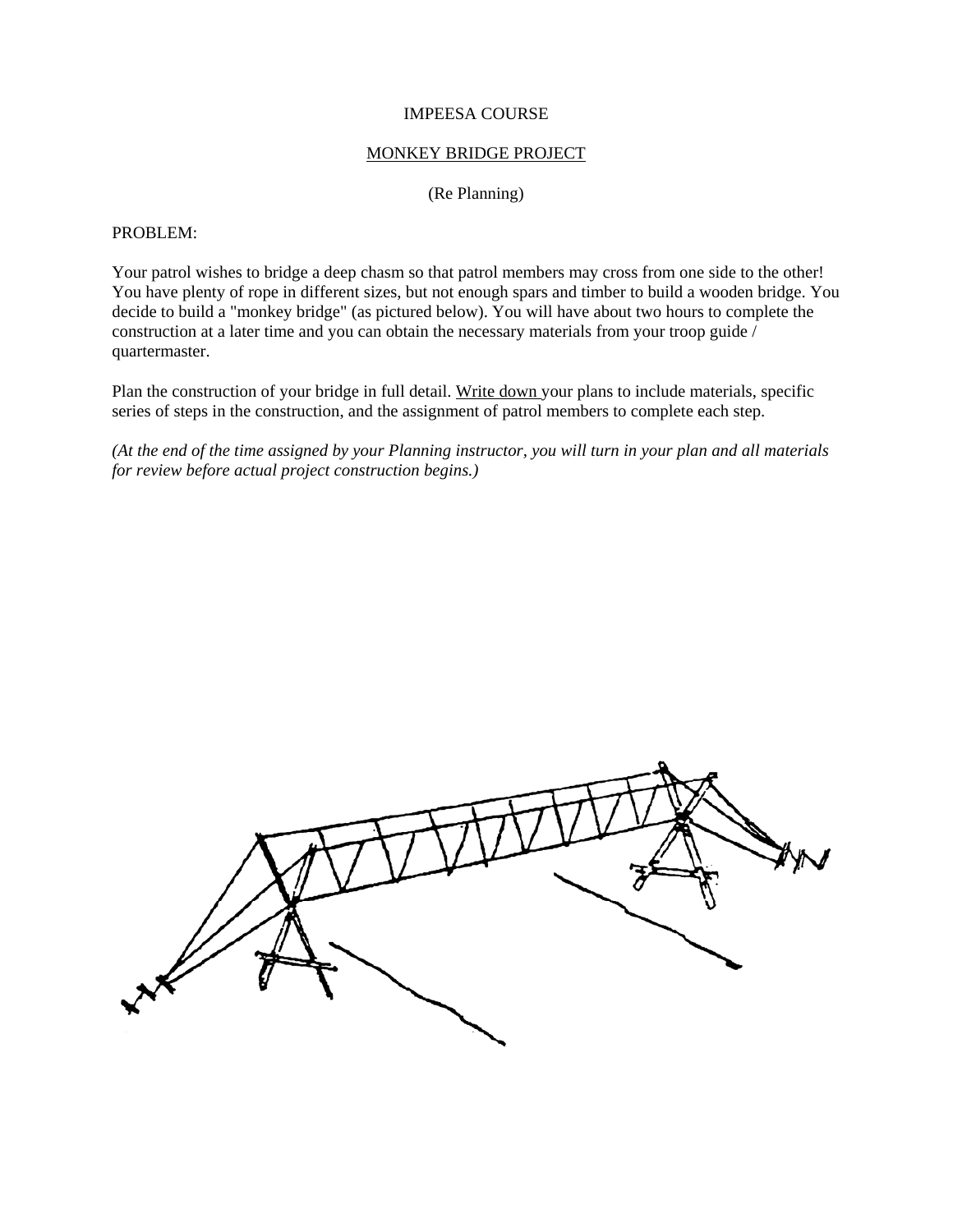## MONKEY BRIDGE PROJECT

(Re Planning)

## PROBLEM:

Your patrol wishes to bridge a deep chasm so that patrol members may cross from one side to the other! You have plenty of rope in different sizes, but not enough spars and timber to build a wooden bridge. You decide to build a "monkey bridge" (as pictured below). You will have about two hours to complete the construction at a later time and you can obtain the necessary materials from your troop guide / quartermaster.

Plan the construction of your bridge in full detail. Write down your plans to include materials, specific series of steps in the construction, and the assignment of patrol members to complete each step.

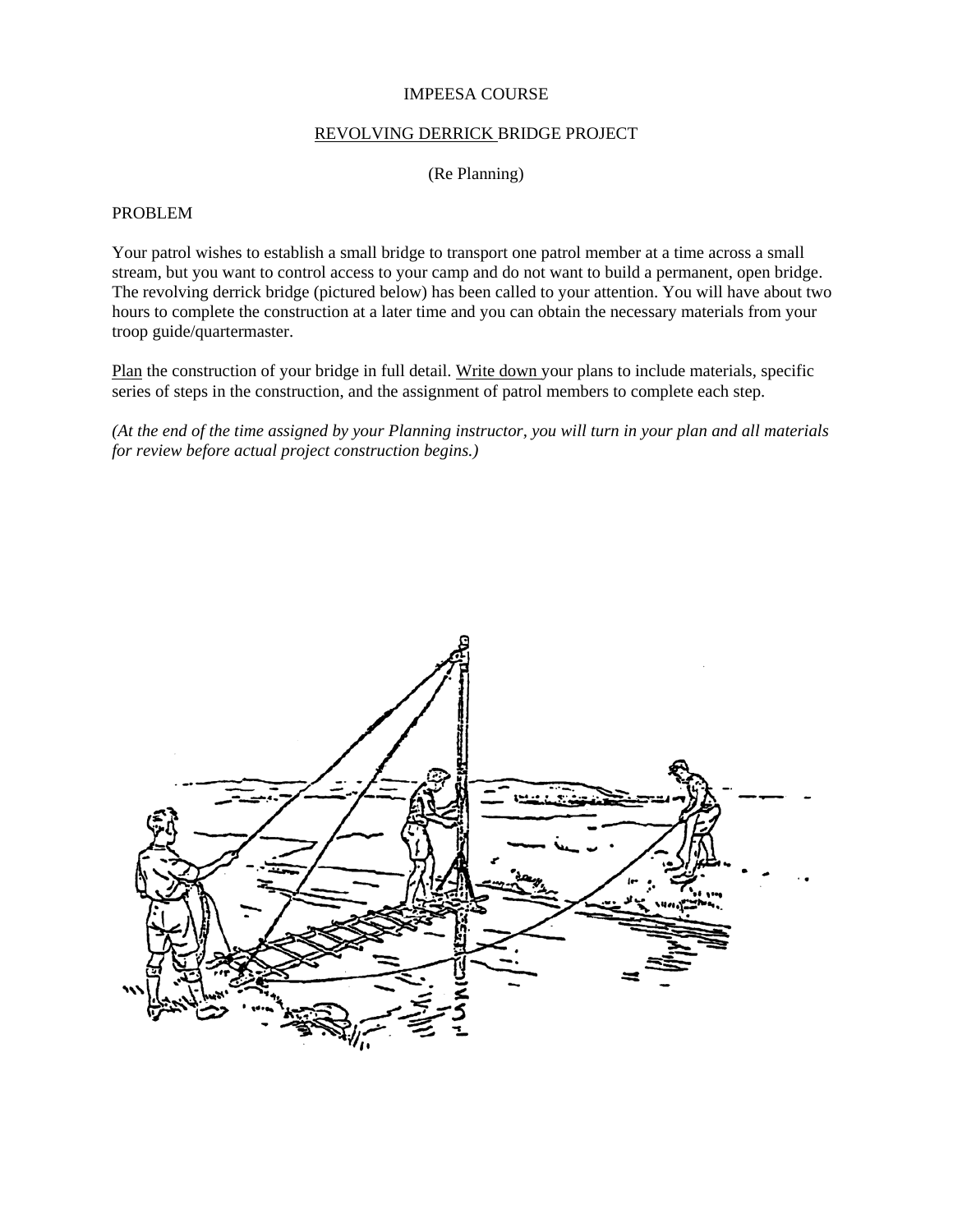## REVOLVING DERRICK BRIDGE PROJECT

(Re Planning)

#### PROBLEM

Your patrol wishes to establish a small bridge to transport one patrol member at a time across a small stream, but you want to control access to your camp and do not want to build a permanent, open bridge. The revolving derrick bridge (pictured below) has been called to your attention. You will have about two hours to complete the construction at a later time and you can obtain the necessary materials from your troop guide/quartermaster.

Plan the construction of your bridge in full detail. Write down your plans to include materials, specific series of steps in the construction, and the assignment of patrol members to complete each step.

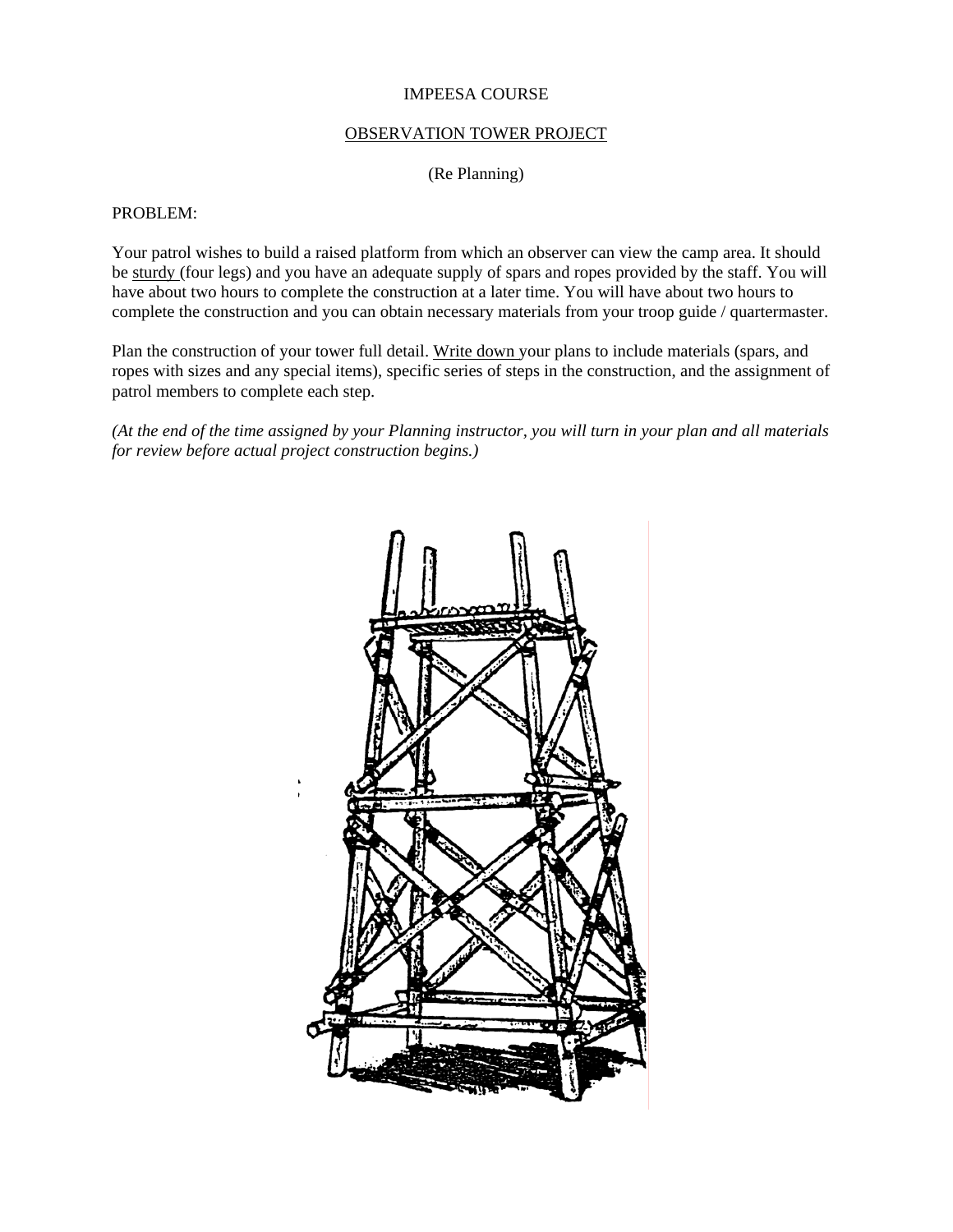## OBSERVATION TOWER PROJECT

(Re Planning)

#### PROBLEM:

Your patrol wishes to build a raised platform from which an observer can view the camp area. It should be sturdy (four legs) and you have an adequate supply of spars and ropes provided by the staff. You will have about two hours to complete the construction at a later time. You will have about two hours to complete the construction and you can obtain necessary materials from your troop guide / quartermaster.

Plan the construction of your tower full detail. Write down your plans to include materials (spars, and ropes with sizes and any special items), specific series of steps in the construction, and the assignment of patrol members to complete each step.

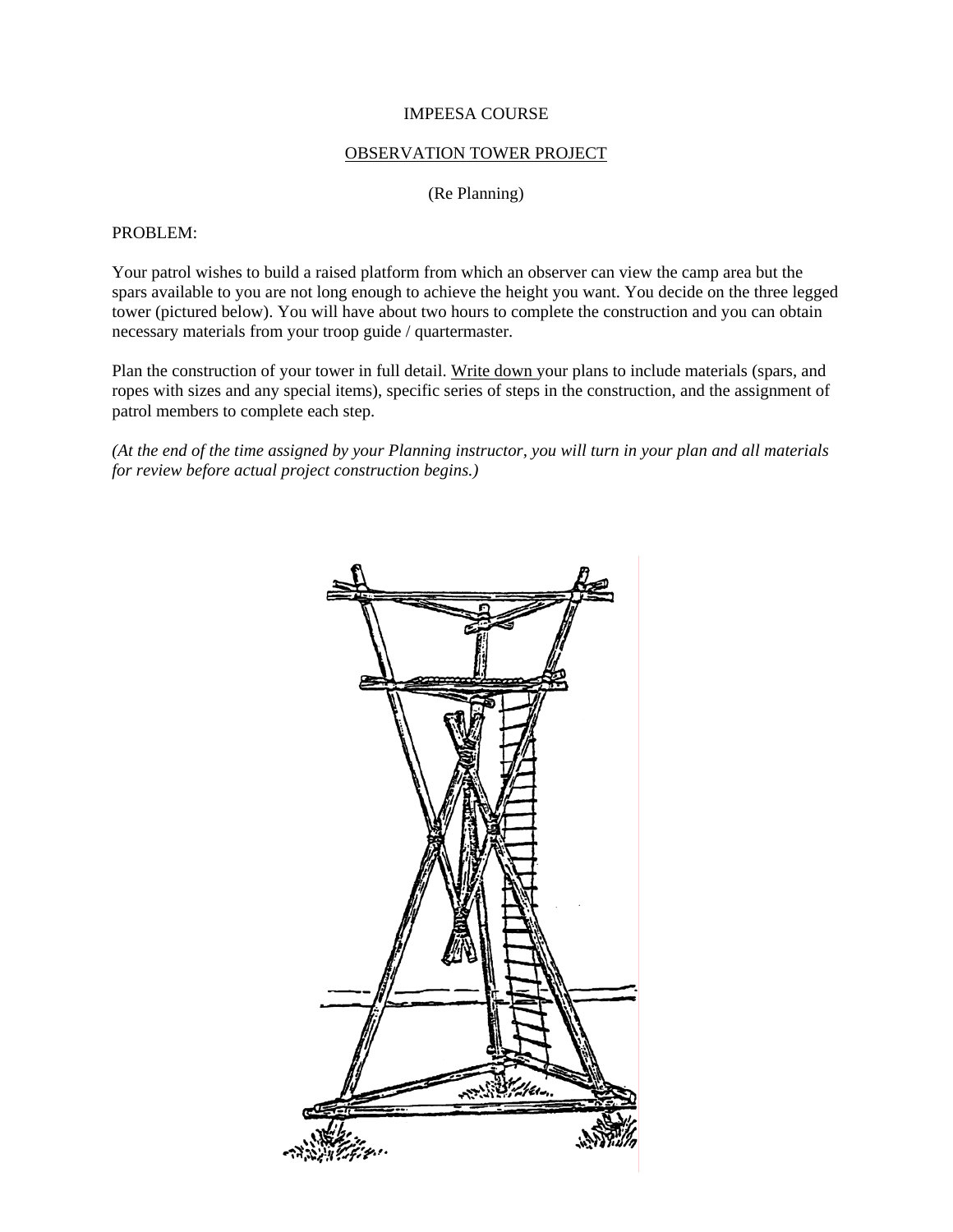## OBSERVATION TOWER PROJECT

(Re Planning)

## PROBLEM:

Your patrol wishes to build a raised platform from which an observer can view the camp area but the spars available to you are not long enough to achieve the height you want. You decide on the three legged tower (pictured below). You will have about two hours to complete the construction and you can obtain necessary materials from your troop guide / quartermaster.

Plan the construction of your tower in full detail. Write down your plans to include materials (spars, and ropes with sizes and any special items), specific series of steps in the construction, and the assignment of patrol members to complete each step.

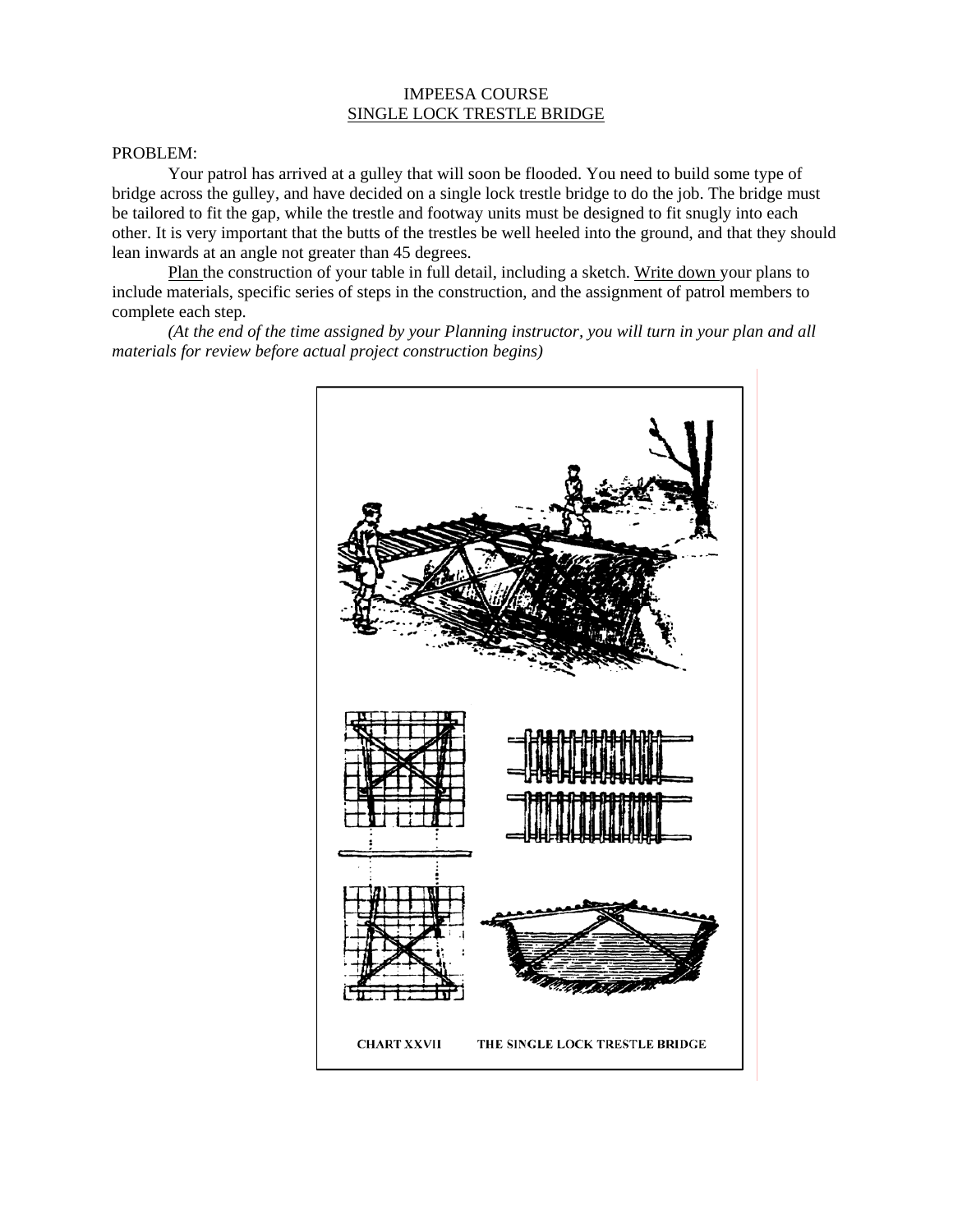## IMPEESA COURSE SINGLE LOCK TRESTLE BRIDGE

## PROBLEM:

Your patrol has arrived at a gulley that will soon be flooded. You need to build some type of bridge across the gulley, and have decided on a single lock trestle bridge to do the job. The bridge must be tailored to fit the gap, while the trestle and footway units must be designed to fit snugly into each other. It is very important that the butts of the trestles be well heeled into the ground, and that they should lean inwards at an angle not greater than 45 degrees.

Plan the construction of your table in full detail, including a sketch. Write down your plans to include materials, specific series of steps in the construction, and the assignment of patrol members to complete each step.

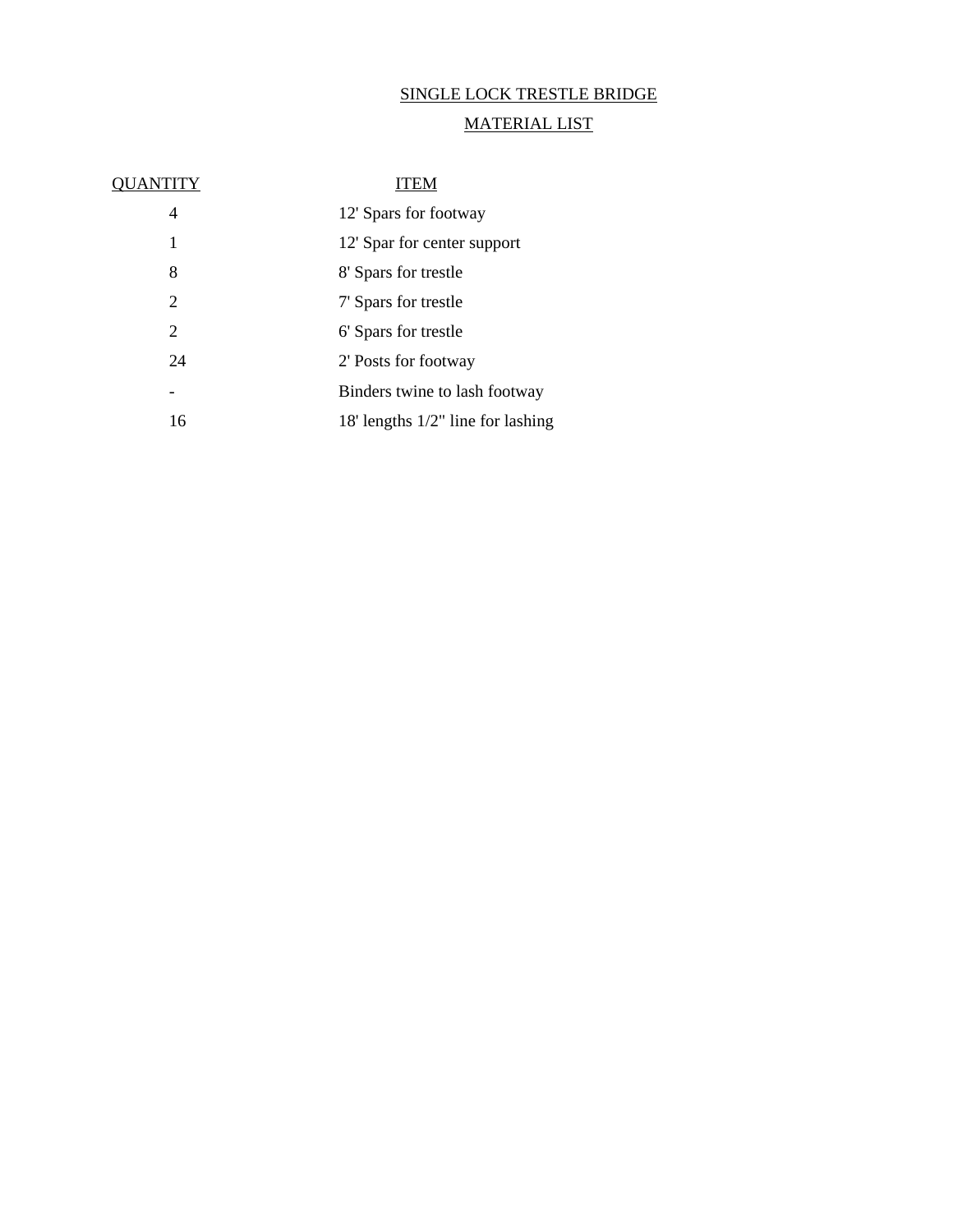# SINGLE LOCK TRESTLE BRIDGE

# MATERIAL LIST

| OUANTITY | ITEM                                 |
|----------|--------------------------------------|
| 4        | 12' Spars for footway                |
| 1        | 12' Spar for center support          |
| 8        | 8' Spars for trestle                 |
| 2        | 7' Spars for trestle                 |
| 2        | 6' Spars for trestle                 |
| 24       | 2' Posts for footway                 |
|          | Binders twine to lash footway        |
| 16       | 18' lengths $1/2$ " line for lashing |
|          |                                      |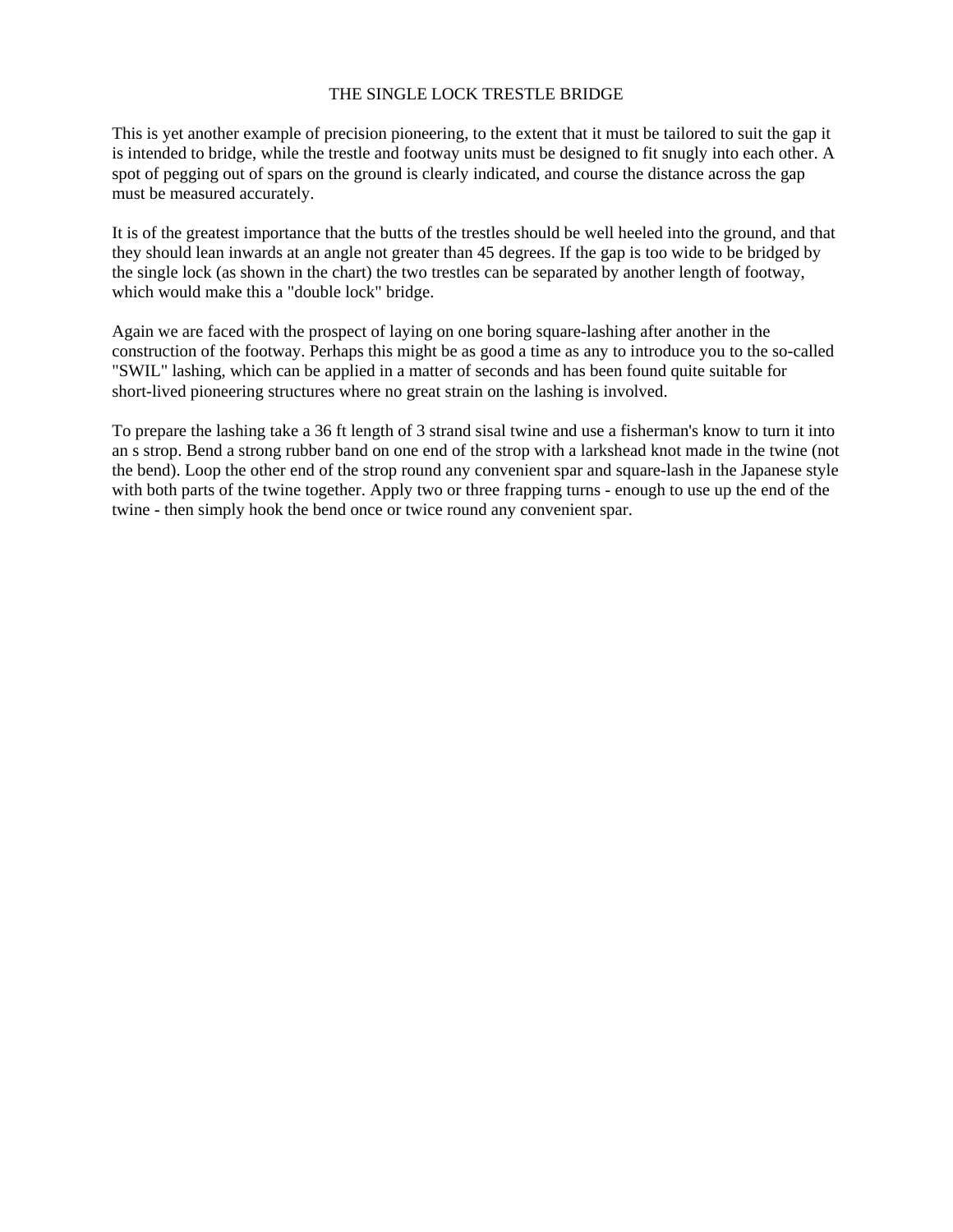## THE SINGLE LOCK TRESTLE BRIDGE

This is yet another example of precision pioneering, to the extent that it must be tailored to suit the gap it is intended to bridge, while the trestle and footway units must be designed to fit snugly into each other. A spot of pegging out of spars on the ground is clearly indicated, and course the distance across the gap must be measured accurately.

It is of the greatest importance that the butts of the trestles should be well heeled into the ground, and that they should lean inwards at an angle not greater than 45 degrees. If the gap is too wide to be bridged by the single lock (as shown in the chart) the two trestles can be separated by another length of footway, which would make this a "double lock" bridge.

Again we are faced with the prospect of laying on one boring square-lashing after another in the construction of the footway. Perhaps this might be as good a time as any to introduce you to the so-called "SWIL" lashing, which can be applied in a matter of seconds and has been found quite suitable for short-lived pioneering structures where no great strain on the lashing is involved.

To prepare the lashing take a 36 ft length of 3 strand sisal twine and use a fisherman's know to turn it into an s strop. Bend a strong rubber band on one end of the strop with a larkshead knot made in the twine (not the bend). Loop the other end of the strop round any convenient spar and square-lash in the Japanese style with both parts of the twine together. Apply two or three frapping turns - enough to use up the end of the twine - then simply hook the bend once or twice round any convenient spar.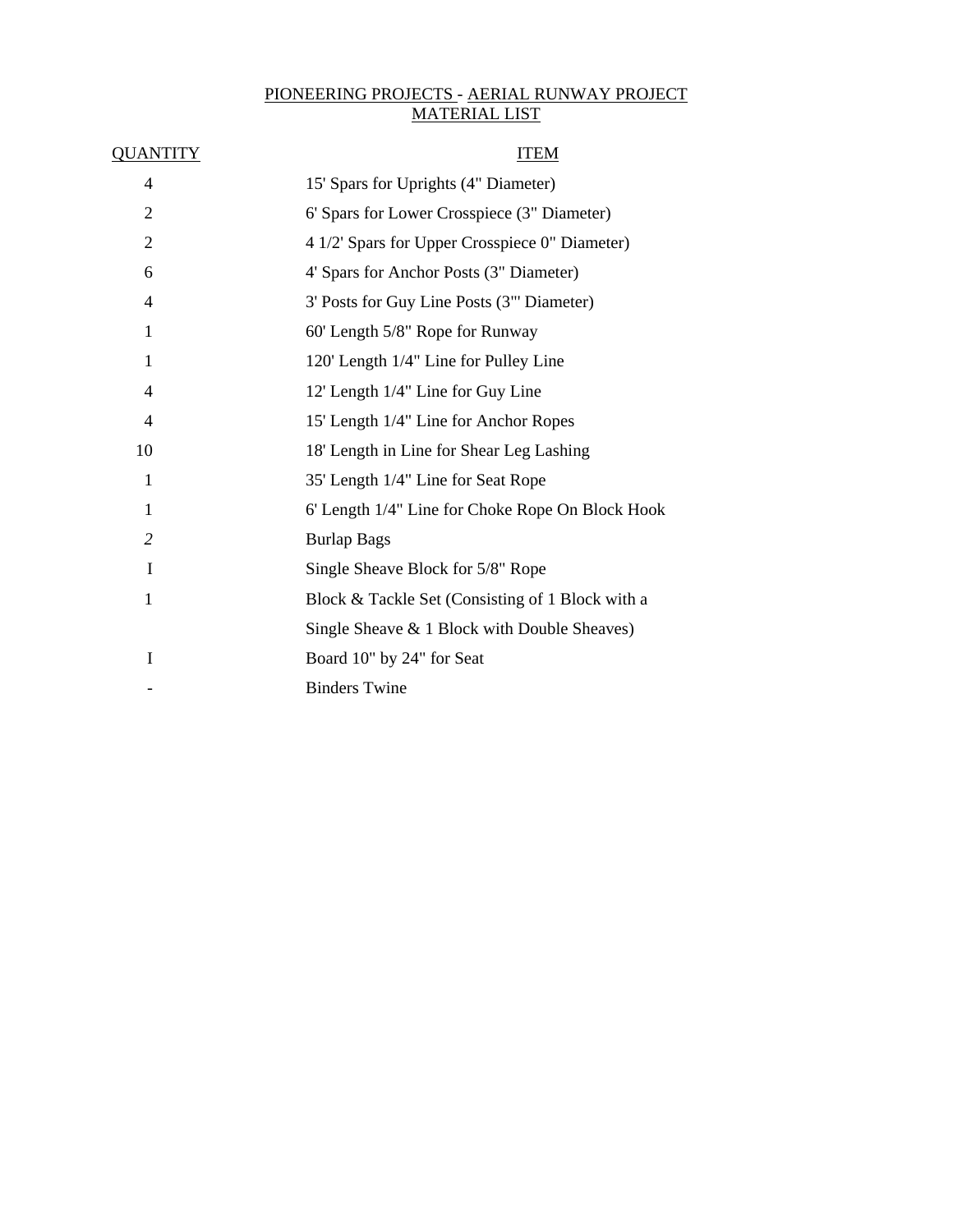# PIONEERING PROJECTS - AERIAL RUNWAY PROJECT MATERIAL LIST

| <u>QUANTITY</u>          | <b>ITEM</b>                                      |
|--------------------------|--------------------------------------------------|
| 4                        | 15' Spars for Uprights (4" Diameter)             |
| $\overline{2}$           | 6' Spars for Lower Crosspiece (3" Diameter)      |
| $\overline{2}$           | 4 1/2' Spars for Upper Crosspiece 0" Diameter)   |
| 6                        | 4' Spars for Anchor Posts (3" Diameter)          |
| 4                        | 3' Posts for Guy Line Posts (3"' Diameter)       |
| 1                        | 60' Length 5/8" Rope for Runway                  |
| 1                        | 120' Length 1/4" Line for Pulley Line            |
| $\overline{\mathcal{A}}$ | 12' Length 1/4" Line for Guy Line                |
| 4                        | 15' Length 1/4" Line for Anchor Ropes            |
| 10                       | 18' Length in Line for Shear Leg Lashing         |
| 1                        | 35' Length 1/4" Line for Seat Rope               |
| 1                        | 6' Length 1/4" Line for Choke Rope On Block Hook |
| $\overline{2}$           | <b>Burlap Bags</b>                               |
| I                        | Single Sheave Block for 5/8" Rope                |
| $\mathbf{1}$             | Block & Tackle Set (Consisting of 1 Block with a |
|                          | Single Sheave & 1 Block with Double Sheaves)     |
| I                        | Board 10" by 24" for Seat                        |
|                          | <b>Binders Twine</b>                             |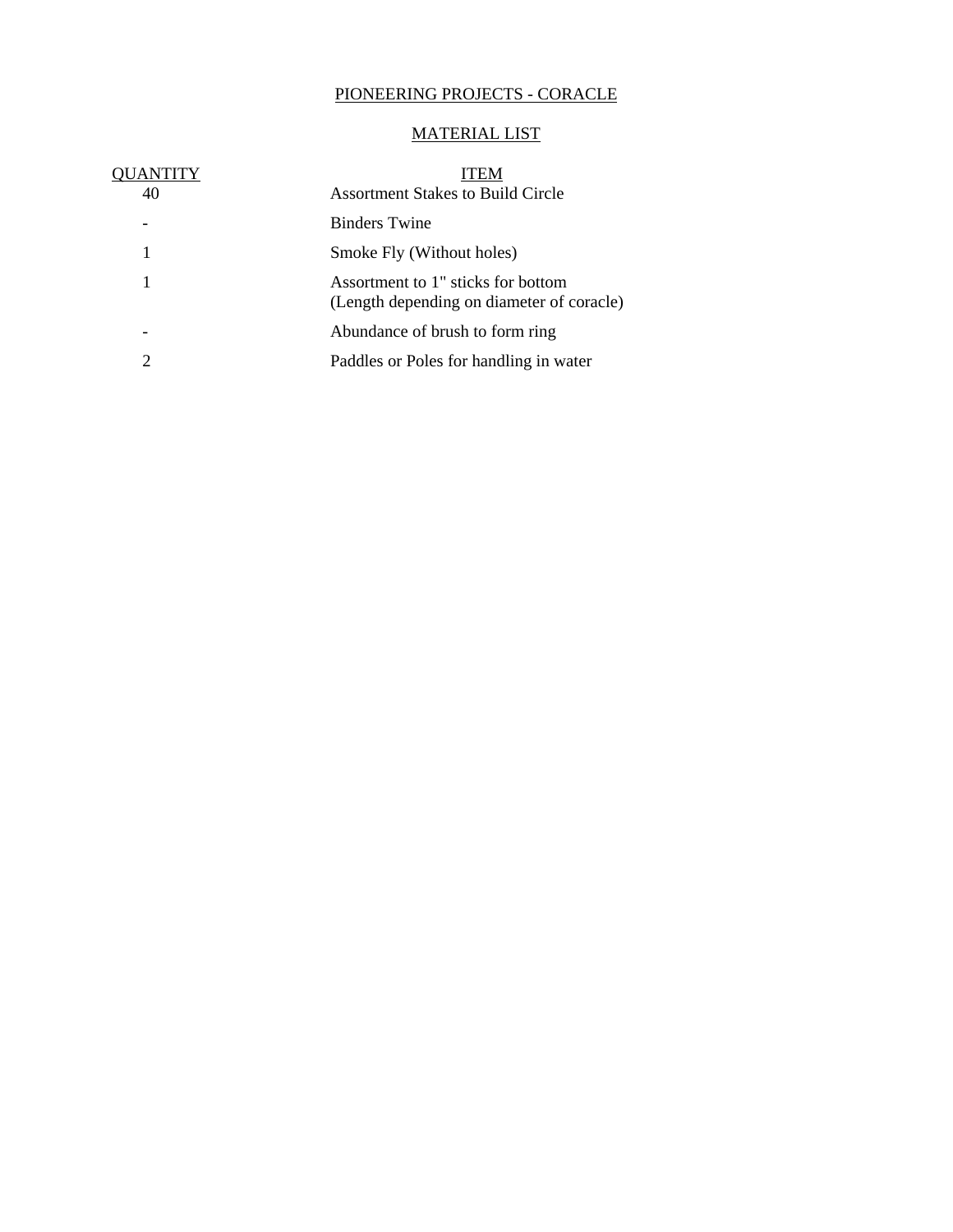# PIONEERING PROJECTS - CORACLE

# MATERIAL LIST

| OUANTITY | ITEM                                                                            |
|----------|---------------------------------------------------------------------------------|
| 40       | <b>Assortment Stakes to Build Circle</b>                                        |
|          | <b>Binders</b> Twine                                                            |
| 1        | Smoke Fly (Without holes)                                                       |
| 1        | Assortment to 1" sticks for bottom<br>(Length depending on diameter of coracle) |
|          | Abundance of brush to form ring                                                 |
| 2        | Paddles or Poles for handling in water                                          |
|          |                                                                                 |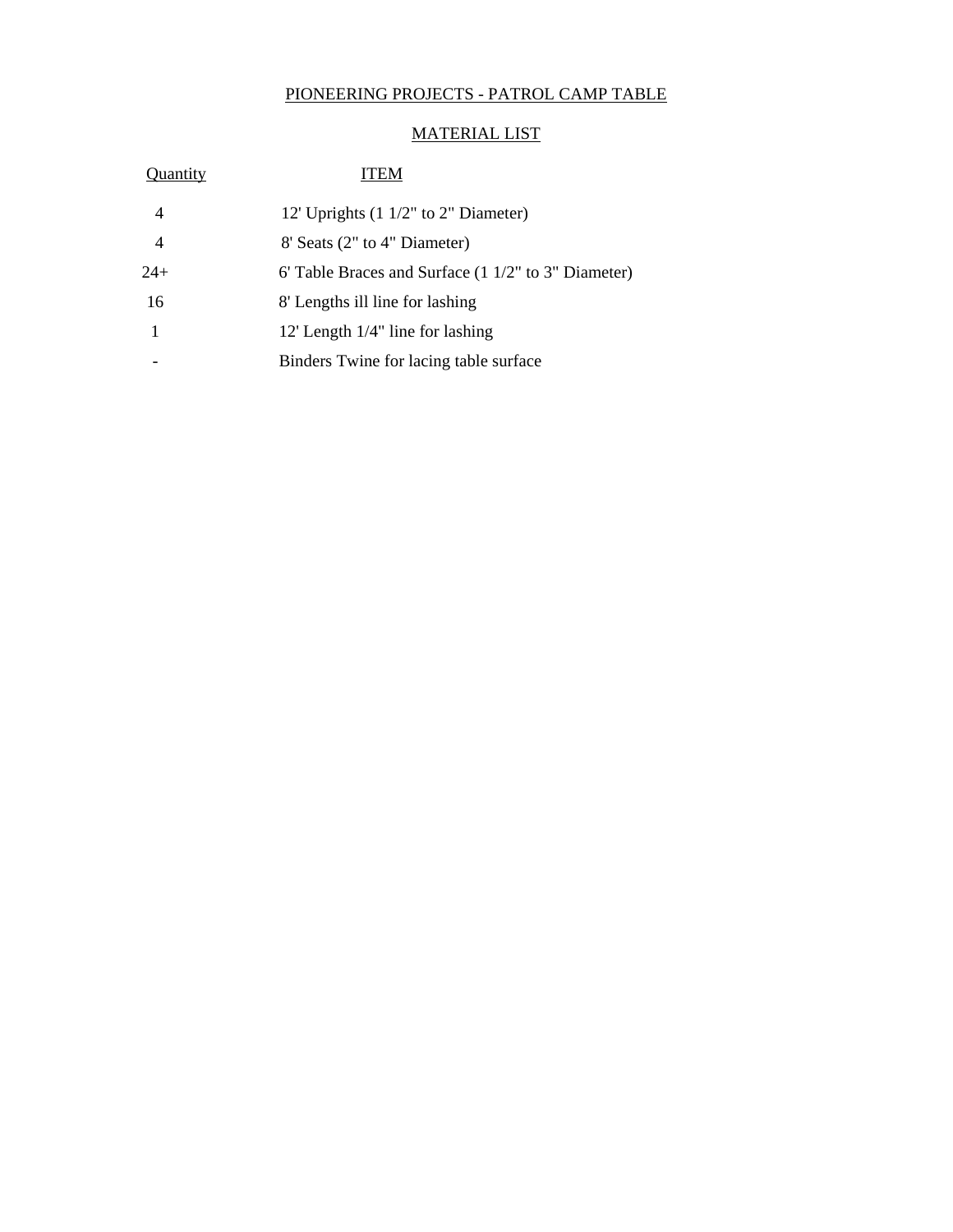# PIONEERING PROJECTS - PATROL CAMP TABLE

# MATERIAL LIST

| Quantity | <b>ITEM</b>                                            |
|----------|--------------------------------------------------------|
| 4        | 12' Uprights $(1\ 1/2"$ to 2" Diameter)                |
| 4        | 8' Seats (2" to 4" Diameter)                           |
| $24+$    | 6' Table Braces and Surface $(1\ 1/2"$ to 3" Diameter) |
| 16       | 8' Lengths ill line for lashing                        |
| 1        | 12' Length $1/4$ " line for lashing                    |
|          | Binders Twine for lacing table surface                 |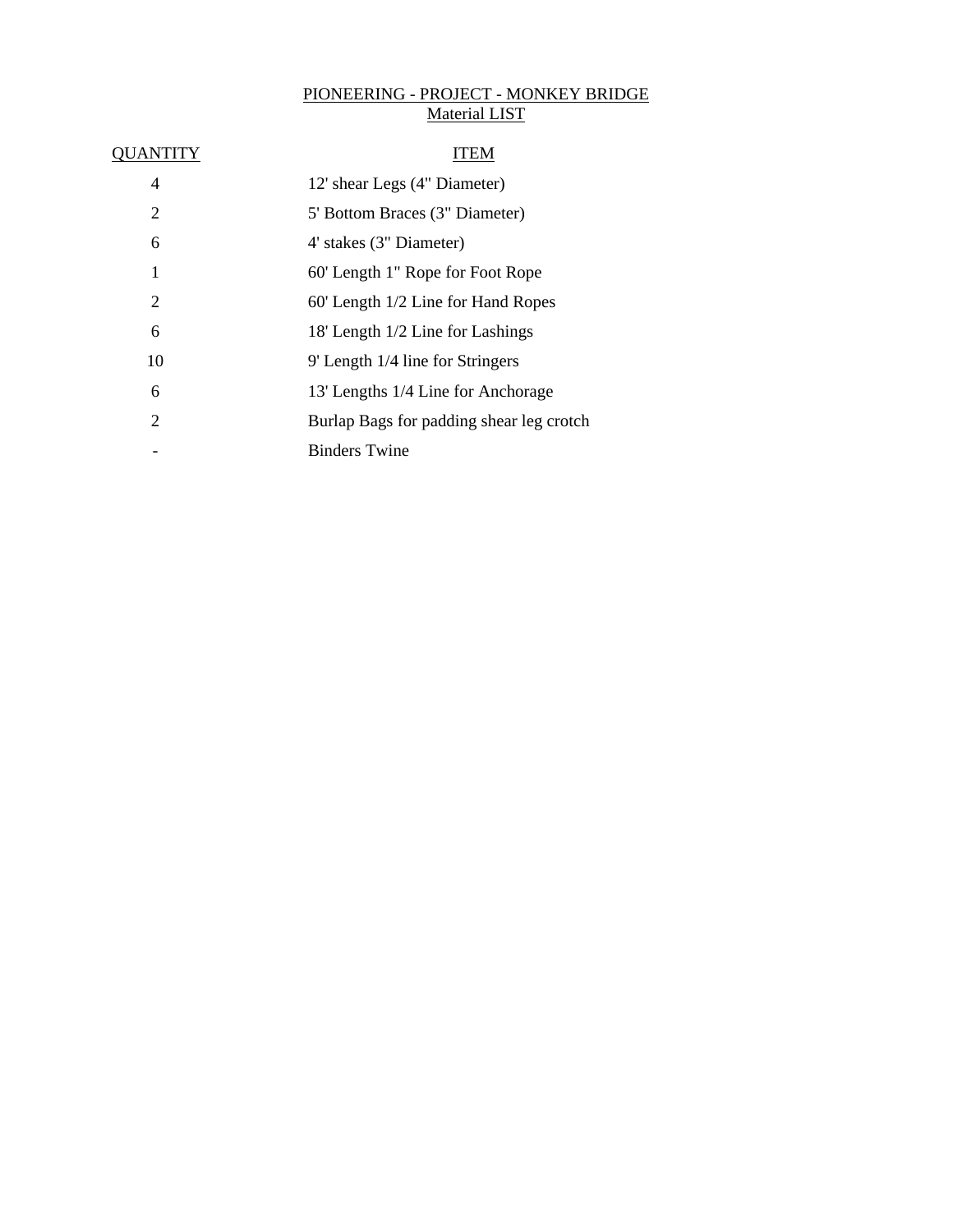# PIONEERING - PROJECT - MONKEY BRIDGE Material LIST

| 4              | 12' shear Legs (4" Diameter)             |
|----------------|------------------------------------------|
| 2              | 5' Bottom Braces (3" Diameter)           |
| 6              | 4' stakes (3" Diameter)                  |
| 1              | 60' Length 1" Rope for Foot Rope         |
| 2              | 60' Length 1/2 Line for Hand Ropes       |
| 6              | 18' Length 1/2 Line for Lashings         |
| 10             | 9' Length 1/4 line for Stringers         |
| 6              | 13' Lengths 1/4 Line for Anchorage       |
| $\overline{2}$ | Burlap Bags for padding shear leg crotch |
|                | <b>Binders Twine</b>                     |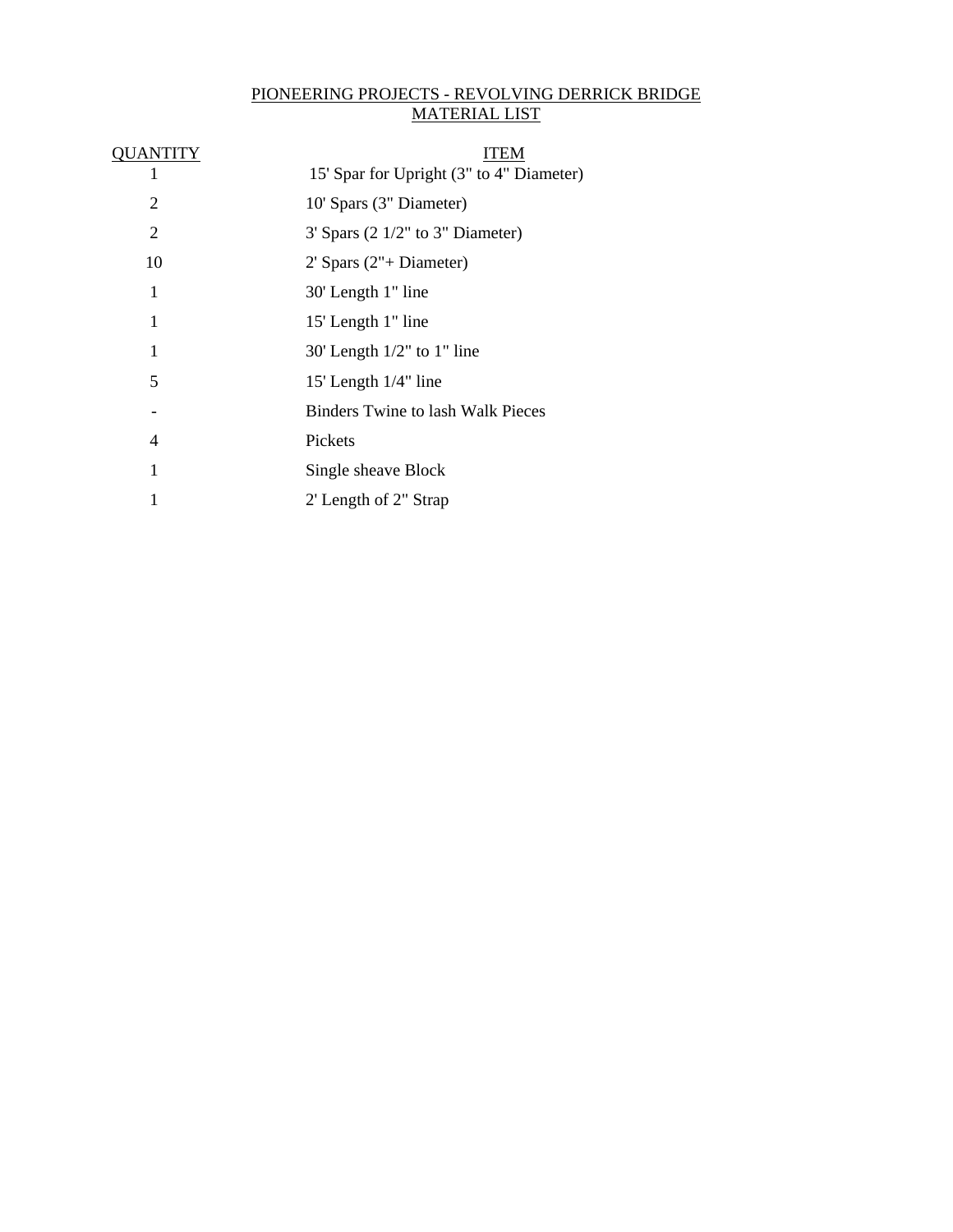# PIONEERING PROJECTS - REVOLVING DERRICK BRIDGE MATERIAL LIST

| 15' Spar for Upright (3" to 4" Diameter) |
|------------------------------------------|
| 10' Spars (3" Diameter)                  |
| $3'$ Spars (2 $1/2"$ to $3"$ Diameter)   |
| $2'$ Spars $(2" + Diameter)$             |
| 30' Length 1" line                       |
| 15' Length 1" line                       |
| $30'$ Length $1/2"$ to $1"$ line         |
| 15' Length 1/4" line                     |
| Binders Twine to lash Walk Pieces        |
| Pickets                                  |
| Single sheave Block                      |
| 2' Length of 2" Strap                    |
|                                          |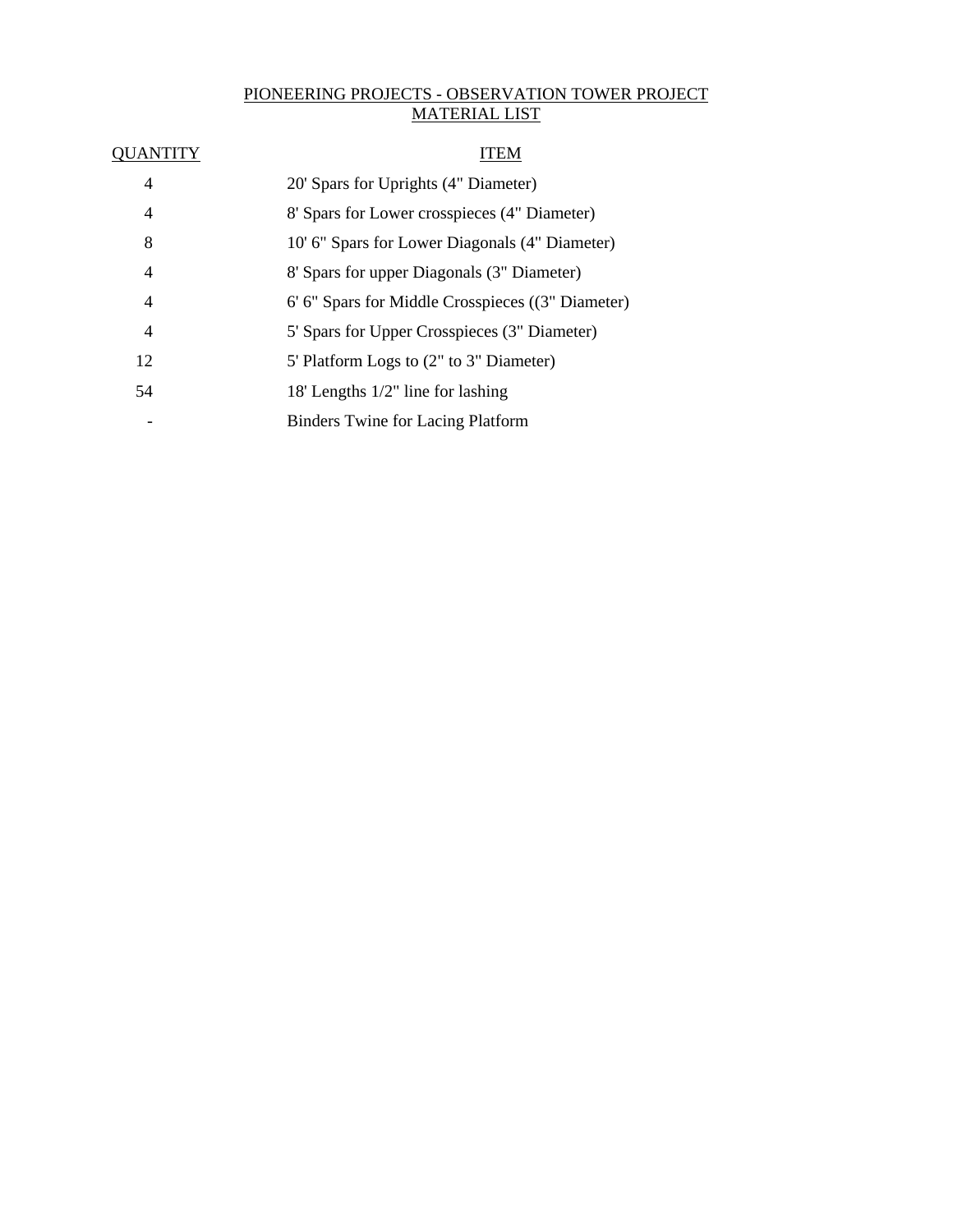# PIONEERING PROJECTS - OBSERVATION TOWER PROJECT MATERIAL LIST

| 4  | 20' Spars for Uprights (4" Diameter)              |
|----|---------------------------------------------------|
| 4  | 8' Spars for Lower crosspieces (4" Diameter)      |
| 8  | 10' 6" Spars for Lower Diagonals (4" Diameter)    |
| 4  | 8' Spars for upper Diagonals (3" Diameter)        |
| 4  | 6' 6" Spars for Middle Crosspieces ((3" Diameter) |
| 4  | 5' Spars for Upper Crosspieces (3" Diameter)      |
| 12 | 5' Platform Logs to (2" to 3" Diameter)           |
| 54 | 18' Lengths $1/2$ " line for lashing              |
| -  | <b>Binders Twine for Lacing Platform</b>          |